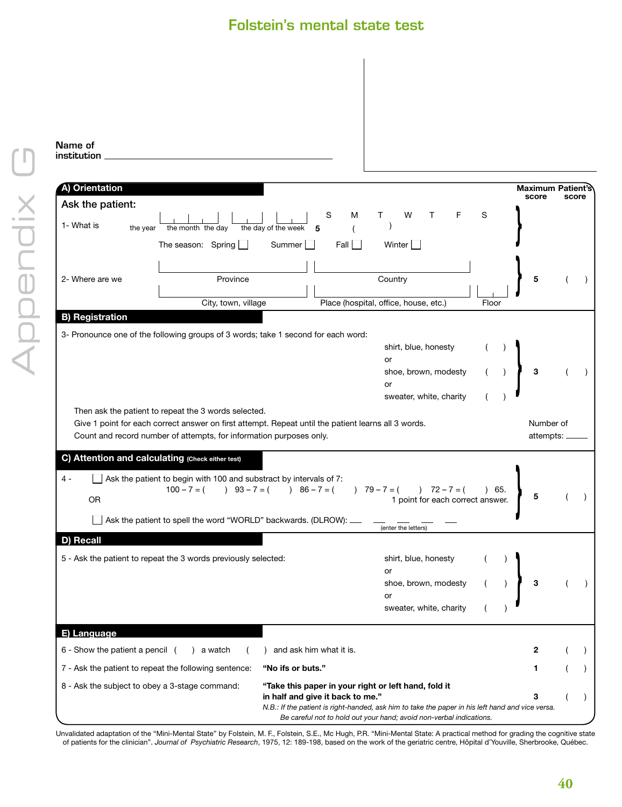## Folstein's mental state test

|                                                  |                                                                                                                                                         | <b>Folstein's mental state test</b>                                                                           |                                                                                                                                                                         |       |                          |       |
|--------------------------------------------------|---------------------------------------------------------------------------------------------------------------------------------------------------------|---------------------------------------------------------------------------------------------------------------|-------------------------------------------------------------------------------------------------------------------------------------------------------------------------|-------|--------------------------|-------|
| Name of<br>institution                           |                                                                                                                                                         |                                                                                                               |                                                                                                                                                                         |       |                          |       |
| A) Orientation                                   |                                                                                                                                                         |                                                                                                               |                                                                                                                                                                         |       | <b>Maximum Patient's</b> |       |
| Ask the patient:<br>1- What is<br>the year       | the month the day                                                                                                                                       | S<br>м<br>the day of the week<br>5                                                                            | W<br>F                                                                                                                                                                  | S     | score                    | score |
| 2- Where are we                                  | The season: Spring $\Box$<br>Province                                                                                                                   | Fall $\Box$<br>Summer                                                                                         | Winter<br>Country                                                                                                                                                       |       | 5                        |       |
| <b>B) Registration</b>                           | City, town, village                                                                                                                                     |                                                                                                               | Place (hospital, office, house, etc.)                                                                                                                                   | Floor |                          |       |
|                                                  |                                                                                                                                                         | 3- Pronounce one of the following groups of 3 words; take 1 second for each word:                             | shirt, blue, honesty<br>or<br>shoe, brown, modesty<br>or<br>sweater, white, charity                                                                                     |       | 3                        |       |
|                                                  | Then ask the patient to repeat the 3 words selected.<br>Count and record number of attempts, for information purposes only.                             | Give 1 point for each correct answer on first attempt. Repeat until the patient learns all 3 words.           |                                                                                                                                                                         |       | Number of<br>attempts:   |       |
| C) Attention and calculating (Check either test) |                                                                                                                                                         |                                                                                                               |                                                                                                                                                                         |       |                          |       |
| $4 -$<br>OR                                      | Ask the patient to begin with 100 and substract by intervals of 7:<br>$100 - 7 = ($<br>Ask the patient to spell the word "WORLD" backwards. (DLROW): __ | $93-7=$ ( ) $86-7=$ (                                                                                         | $79 - 7 = ( ) 72 - 7 = ( )$<br>1 point for each correct answer.                                                                                                         | 65.   | 5                        |       |
| D) Recall                                        |                                                                                                                                                         |                                                                                                               | (enter the letters)                                                                                                                                                     |       |                          |       |
|                                                  | 5 - Ask the patient to repeat the 3 words previously selected:                                                                                          |                                                                                                               | shirt, blue, honesty<br>or<br>shoe, brown, modesty<br>or<br>sweater, white, charity                                                                                     |       | 3                        |       |
| E) Language                                      |                                                                                                                                                         |                                                                                                               |                                                                                                                                                                         |       |                          |       |
| 6 - Show the patient a pencil (                  | ) a watch                                                                                                                                               | and ask him what it is.                                                                                       |                                                                                                                                                                         |       | 2                        |       |
| 8 - Ask the subject to obey a 3-stage command:   | 7 - Ask the patient to repeat the following sentence:                                                                                                   | "No ifs or buts."<br>"Take this paper in your right or left hand, fold it<br>in half and give it back to me." | N.B.: If the patient is right-handed, ask him to take the paper in his left hand and vice versa.<br>Be careful not to hold out your hand; avoid non-verbal indications. |       | 1.<br>3                  |       |

Unvalidated adaptation of the "Mini-Mental State" by Folstein, M. F., Folstein, S.E., Mc Hugh, P.R. "Mini-Mental State: A practical method for grading the cognitive state<br>of patients for the clinician". Journal of Psychiat